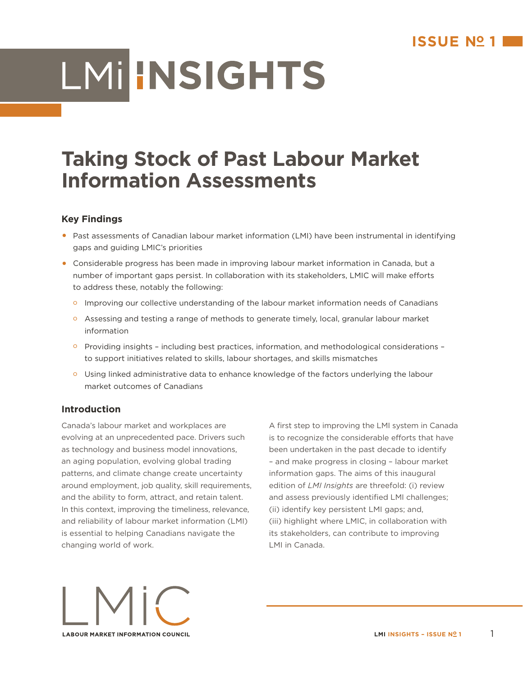# LMI INSIGHTS

# **Taking Stock of Past Labour Market Information Assessments**

# **Key Findings**

- **•** Past assessments of Canadian labour market information (LMI) have been instrumental in identifying gaps and guiding LMIC's priorities
- **•** Considerable progress has been made in improving labour market information in Canada, but a number of important gaps persist. In collaboration with its stakeholders, LMIC will make efforts to address these, notably the following:
	- **o** Improving our collective understanding of the labour market information needs of Canadians
	- o Assessing and testing a range of methods to generate timely, local, granular labour market information
	- o Providing insights including best practices, information, and methodological considerations to support initiatives related to skills, labour shortages, and skills mismatches
	- o Using linked administrative data to enhance knowledge of the factors underlying the labour market outcomes of Canadians

# **Introduction**

Canada's labour market and workplaces are evolving at an unprecedented pace. Drivers such as technology and business model innovations, an aging population, evolving global trading patterns, and climate change create uncertainty around employment, job quality, skill requirements, and the ability to form, attract, and retain talent. In this context, improving the timeliness, relevance, and reliability of labour market information (LMI) is essential to helping Canadians navigate the changing world of work.

A first step to improving the LMI system in Canada is to recognize the considerable efforts that have been undertaken in the past decade to identify – and make progress in closing – labour market information gaps. The aims of this inaugural edition of *LMI Insights* are threefold: (i) review and assess previously identified LMI challenges; (ii) identify key persistent LMI gaps; and, (iii) highlight where LMIC, in collaboration with its stakeholders, can contribute to improving LMI in Canada.

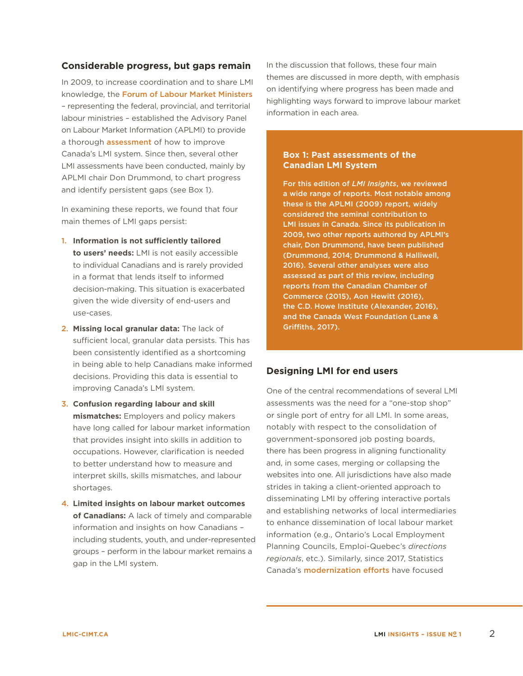### **Considerable progress, but gaps remain**

In 2009, to increase coordination and to share LMI knowledge, the [Forum of Labour Market Ministers](http://www.flmm-fmmt.ca/) – representing the federal, provincial, and territorial labour ministries – established the Advisory Panel on Labour Market Information (APLMI) to provide a thorough **[assessment](http://publications.gc.ca/site/archivee-archived.html?url=http://publications.gc.ca/collections/collection_2011/rhdcc-hrsdc/HS18-24-2009-eng.pdf)** of how to improve Canada's LMI system. Since then, several other LMI assessments have been conducted, mainly by APLMI chair Don Drummond, to chart progress and identify persistent gaps (see Box 1).

In examining these reports, we found that four main themes of LMI gaps persist:

- 1. **Information is not sufficiently tailored to users' needs:** LMI is not easily accessible to individual Canadians and is rarely provided in a format that lends itself to informed decision-making. This situation is exacerbated given the wide diversity of end-users and use-cases.
- 2. **Missing local granular data:** The lack of sufficient local, granular data persists. This has been consistently identified as a shortcoming in being able to help Canadians make informed decisions. Providing this data is essential to improving Canada's LMI system.
- 3. **Confusion regarding labour and skill mismatches:** Employers and policy makers have long called for labour market information that provides insight into skills in addition to occupations. However, clarification is needed to better understand how to measure and interpret skills, skills mismatches, and labour shortages.
- 4. **Limited insights on labour market outcomes of Canadians:** A lack of timely and comparable information and insights on how Canadians – including students, youth, and under-represented groups – perform in the labour market remains a gap in the LMI system.

In the discussion that follows, these four main themes are discussed in more depth, with emphasis on identifying where progress has been made and highlighting ways forward to improve labour market information in each area.

#### **Box 1: Past assessments of the Canadian LMI System**

For this edition of *LMI Insights*, we reviewed a wide range of reports. Most notable among these is the APLMI (2009) report, widely considered the seminal contribution to LMI issues in Canada. Since its publication in 2009, two other reports authored by APLMI's chair, Don Drummond, have been published (Drummond, 2014; Drummond & Halliwell, 2016). Several other analyses were also assessed as part of this review, including reports from the Canadian Chamber of Commerce (2015), Aon Hewitt (2016), the C.D. Howe Institute (Alexander, 2016), and the Canada West Foundation (Lane & Griffiths, 2017).

### **Designing LMI for end users**

One of the central recommendations of several LMI assessments was the need for a "one-stop shop" or single port of entry for all LMI. In some areas, notably with respect to the consolidation of government-sponsored job posting boards, there has been progress in aligning functionality and, in some cases, merging or collapsing the websites into one. All jurisdictions have also made strides in taking a client-oriented approach to disseminating LMI by offering interactive portals and establishing networks of local intermediaries to enhance dissemination of local labour market information (e.g., Ontario's Local Employment Planning Councils, Emploi-Quebec's *directions regionals*, etc.). Similarly, since 2017, Statistics Canada's [modernization efforts](https://www.statcan.gc.ca/eng/about/bp) have focused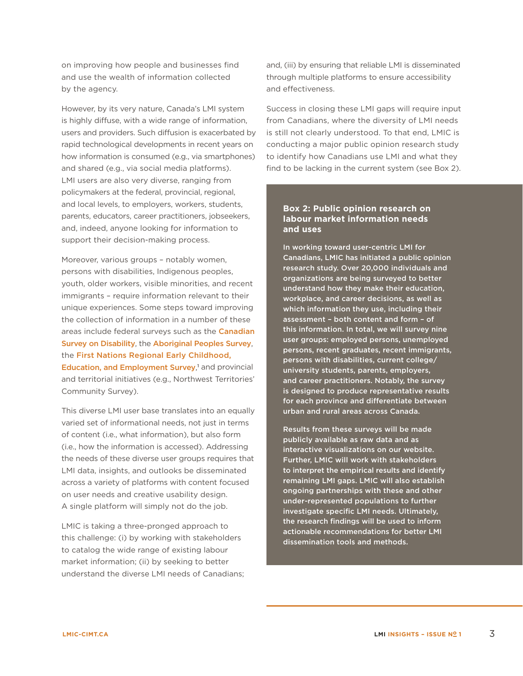on improving how people and businesses find and use the wealth of information collected by the agency.

However, by its very nature, Canada's LMI system is highly diffuse, with a wide range of information, users and providers. Such diffusion is exacerbated by rapid technological developments in recent years on how information is consumed (e.g., via smartphones) and shared (e.g., via social media platforms). LMI users are also very diverse, ranging from policymakers at the federal, provincial, regional, and local levels, to employers, workers, students, parents, educators, career practitioners, jobseekers, and, indeed, anyone looking for information to support their decision-making process.

Moreover, various groups – notably women, persons with disabilities, Indigenous peoples, youth, older workers, visible minorities, and recent immigrants – require information relevant to their unique experiences. Some steps toward improving the collection of information in a number of these areas include federal surveys such as the [Canadian](http://www23.statcan.gc.ca/imdb/p2SV.pl?Function=getSurvey&Id=133012)  [Survey on Disability](http://www23.statcan.gc.ca/imdb/p2SV.pl?Function=getSurvey&Id=133012), the [Aboriginal Peoples Survey](http://www23.statcan.gc.ca/imdb/p2SV.pl?Function=getSurvey&SDDS=3250&lang=en&db=imdb&adm=8&dis=2), the [First Nations Regional Early Childhood,](https://fnigc.ca/first-nations-regional-early-childhood-education-and-employment-survey.html)  [Education, and Employment Survey](https://fnigc.ca/first-nations-regional-early-childhood-education-and-employment-survey.html),<sup>1</sup> and provincial and territorial initiatives (e.g., Northwest Territories' Community Survey).

This diverse LMI user base translates into an equally varied set of informational needs, not just in terms of content (i.e., what information), but also form (i.e., how the information is accessed). Addressing the needs of these diverse user groups requires that LMI data, insights, and outlooks be disseminated across a variety of platforms with content focused on user needs and creative usability design. A single platform will simply not do the job.

LMIC is taking a three-pronged approach to this challenge: (i) by working with stakeholders to catalog the wide range of existing labour market information; (ii) by seeking to better understand the diverse LMI needs of Canadians; and, (iii) by ensuring that reliable LMI is disseminated through multiple platforms to ensure accessibility and effectiveness.

Success in closing these LMI gaps will require input from Canadians, where the diversity of LMI needs is still not clearly understood. To that end, LMIC is conducting a major public opinion research study to identify how Canadians use LMI and what they find to be lacking in the current system (see Box 2).

#### **Box 2: Public opinion research on labour market information needs and uses**

In working toward user-centric LMI for Canadians, LMIC has initiated a public opinion research study. Over 20,000 individuals and organizations are being surveyed to better understand how they make their education, workplace, and career decisions, as well as which information they use, including their assessment – both content and form – of this information. In total, we will survey nine user groups: employed persons, unemployed persons, recent graduates, recent immigrants, persons with disabilities, current college/ university students, parents, employers, and career practitioners. Notably, the survey is designed to produce representative results for each province and differentiate between urban and rural areas across Canada.

Results from these surveys will be made publicly available as raw data and as interactive visualizations on our website. Further, LMIC will work with stakeholders to interpret the empirical results and identify remaining LMI gaps. LMIC will also establish ongoing partnerships with these and other under-represented populations to further investigate specific LMI needs. Ultimately, the research findings will be used to inform actionable recommendations for better LMI dissemination tools and methods.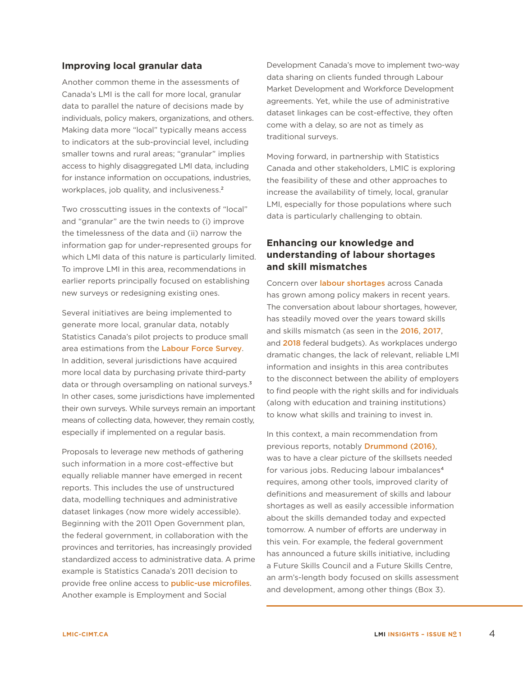#### **Improving local granular data**

Another common theme in the assessments of Canada's LMI is the call for more local, granular data to parallel the nature of decisions made by individuals, policy makers, organizations, and others. Making data more "local" typically means access to indicators at the sub-provincial level, including smaller towns and rural areas; "granular" implies access to highly disaggregated LMI data, including for instance information on occupations, industries, workplaces, job quality, and inclusiveness.<sup>2</sup>

Two crosscutting issues in the contexts of "local" and "granular" are the twin needs to (i) improve the timelessness of the data and (ii) narrow the information gap for under-represented groups for which LMI data of this nature is particularly limited. To improve LMI in this area, recommendations in earlier reports principally focused on establishing new surveys or redesigning existing ones.

Several initiatives are being implemented to generate more local, granular data, notably Statistics Canada's pilot projects to produce small area estimations from the [Labour Force Survey](http://www23.statcan.gc.ca/imdb/p2SV.pl?Function=getSurvey&SDDS=3701). In addition, several jurisdictions have acquired more local data by purchasing private third-party data or through oversampling on national surveys.<sup>3</sup> In other cases, some jurisdictions have implemented their own surveys. While surveys remain an important means of collecting data, however, they remain costly, especially if implemented on a regular basis.

Proposals to leverage new methods of gathering such information in a more cost-effective but equally reliable manner have emerged in recent reports. This includes the use of unstructured data, modelling techniques and administrative dataset linkages (now more widely accessible). Beginning with the 2011 Open Government plan, the federal government, in collaboration with the provinces and territories, has increasingly provided standardized access to administrative data. A prime example is Statistics Canada's 2011 decision to provide free online access to **[public-use microfiles](https://www150.statcan.gc.ca/n1/pub/11-625-x/11-625-x2010000-eng.htm)**. Another example is Employment and Social

Development Canada's move to implement two-way data sharing on clients funded through Labour Market Development and Workforce Development agreements. Yet, while the use of administrative dataset linkages can be cost-effective, they often come with a delay, so are not as timely as traditional surveys.

Moving forward, in partnership with Statistics Canada and other stakeholders, LMIC is exploring the feasibility of these and other approaches to increase the availability of timely, local, granular LMI, especially for those populations where such data is particularly challenging to obtain.

# **Enhancing our knowledge and understanding of labour shortages and skill mismatches**

Concern over *labour* shortages across Canada has grown among policy makers in recent years. The conversation about labour shortages, however, has steadily moved over the years toward skills and skills mismatch (as seen in the [2016](https://www.budget.gc.ca/2016/docs/plan/ch1-en.html), [2017](https://www.budget.gc.ca/2017/docs/plan/chap-01-en.html), and [2018](https://www.budget.gc.ca/2018/docs/plan/chap-02-en.html) federal budgets). As workplaces undergo dramatic changes, the lack of relevant, reliable LMI information and insights in this area contributes to the disconnect between the ability of employers to find people with the right skills and for individuals (along with education and training institutions) to know what skills and training to invest in.

In this context, a main recommendation from previous reports, notably [Drummond \(2016\)](http://thebusinesscouncil.ca/wp-content/uploads/2016/06/Labour-Market-Information-June-13.pdf), was to have a clear picture of the skillsets needed for various jobs. Reducing labour imbalances<sup>4</sup> requires, among other tools, improved clarity of definitions and measurement of skills and labour shortages as well as easily accessible information about the skills demanded today and expected tomorrow. A number of efforts are underway in this vein. For example, the federal government has announced a future skills initiative, including a Future Skills Council and a Future Skills Centre, an arm's-length body focused on skills assessment and development, among other things (Box 3).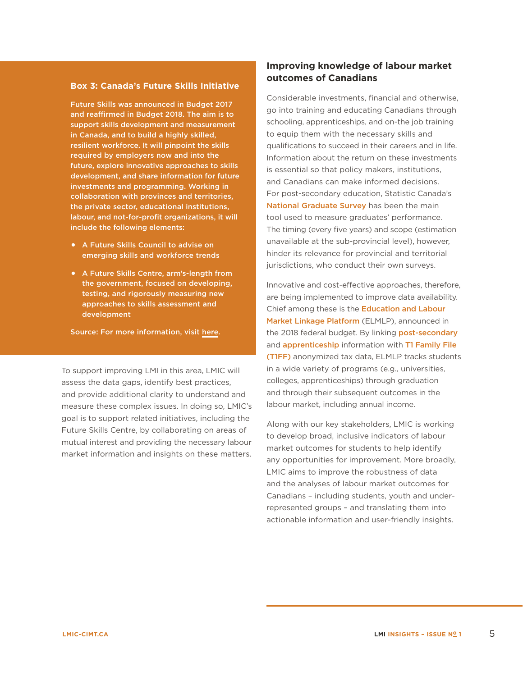#### **Box 3: Canada's Future Skills Initiative**

Future Skills was announced in Budget 2017 and reaffirmed in Budget 2018. The aim is to support skills development and measurement in Canada, and to build a highly skilled, resilient workforce. It will pinpoint the skills required by employers now and into the future, explore innovative approaches to skills development, and share information for future investments and programming. Working in collaboration with provinces and territories, the private sector, educational institutions, labour, and not-for-profit organizations, it will include the following elements:

- **•** A Future Skills Council to advise on emerging skills and workforce trends
- **•** A Future Skills Centre, arm's-length from the government, focused on developing, testing, and rigorously measuring new approaches to skills assessment and development

Source: For more information, visit [here.](https://www.canada.ca/en/employment-social-development/programs/future-skills.html)

To support improving LMI in this area, LMIC will assess the data gaps, identify best practices, and provide additional clarity to understand and measure these complex issues. In doing so, LMIC's goal is to support related initiatives, including the Future Skills Centre, by collaborating on areas of mutual interest and providing the necessary labour market information and insights on these matters.

# **Improving knowledge of labour market outcomes of Canadians**

Considerable investments, financial and otherwise, go into training and educating Canadians through schooling, apprenticeships, and on-the job training to equip them with the necessary skills and qualifications to succeed in their careers and in life. Information about the return on these investments is essential so that policy makers, institutions, and Canadians can make informed decisions. For post-secondary education, Statistic Canada's [National Graduate Survey](http://www23.statcan.gc.ca/imdb/p2SV.pl?Function=getSurvey&SDDS=5012) has been the main tool used to measure graduates' performance. The timing (every five years) and scope (estimation unavailable at the sub-provincial level), however, hinder its relevance for provincial and territorial jurisdictions, who conduct their own surveys.

Innovative and cost-effective approaches, therefore, are being implemented to improve data availability. Chief among these is the [Education and Labour](https://www.budget.gc.ca/2018/docs/plan/chap-01-en.html)  [Market Linkage Platform](https://www.budget.gc.ca/2018/docs/plan/chap-01-en.html) (ELMLP), announced in the 2018 federal budget. By linking [post-secondary](http://www23.statcan.gc.ca/imdb/p2SV.pl?Function=getSurvey&SDDS=5017&dis=1) and **[apprenticeship](http://www23.statcan.gc.ca/imdb/p2SV.pl?Function=getSurvey&SDDS=3154)** information with T1 Family File [\(T1FF\)](http://www23.statcan.gc.ca/imdb/p2SV.pl?Function=getSurvey&SDDS=4105&lang=en&db=imdb&adm=8&dis=2) anonymized tax data, ELMLP tracks students in a wide variety of programs (e.g., universities, colleges, apprenticeships) through graduation and through their subsequent outcomes in the labour market, including annual income.

Along with our key stakeholders, LMIC is working to develop broad, inclusive indicators of labour market outcomes for students to help identify any opportunities for improvement. More broadly, LMIC aims to improve the robustness of data and the analyses of labour market outcomes for Canadians – including students, youth and underrepresented groups – and translating them into actionable information and user-friendly insights.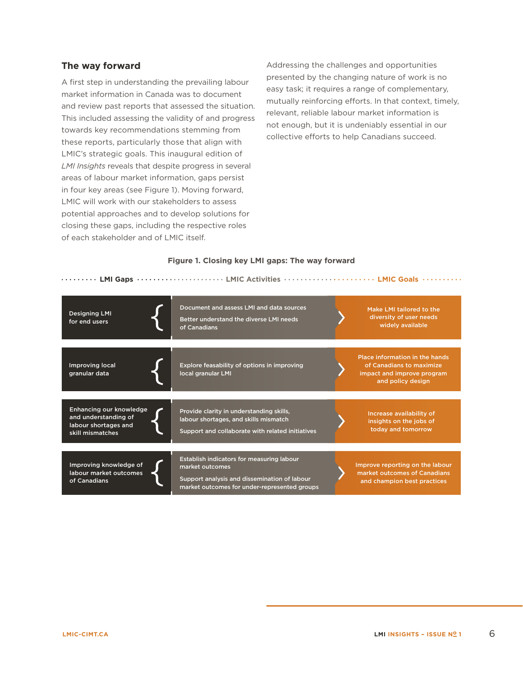## **The way forward**

A first step in understanding the prevailing labour market information in Canada was to document and review past reports that assessed the situation. This included assessing the validity of and progress towards key recommendations stemming from these reports, particularly those that align with LMIC's strategic goals. This inaugural edition of *LMI Insights* reveals that despite progress in several areas of labour market information, gaps persist in four key areas (see Figure 1). Moving forward, LMIC will work with our stakeholders to assess potential approaches and to develop solutions for closing these gaps, including the respective roles of each stakeholder and of LMIC itself.

Addressing the challenges and opportunities presented by the changing nature of work is no easy task; it requires a range of complementary, mutually reinforcing efforts. In that context, timely, relevant, reliable labour market information is not enough, but it is undeniably essential in our collective efforts to help Canadians succeed.

#### **Figure 1. Closing key LMI gaps: The way forward**

|                                                                                             | <b>COMPTAINATION</b> CONSIDERATION IN THE CONSERVANCE CONTINUES AND CONSIDER A LATE COMPANY COMPANY COMPTAINATION IN T                                       |                                                                                                               |
|---------------------------------------------------------------------------------------------|--------------------------------------------------------------------------------------------------------------------------------------------------------------|---------------------------------------------------------------------------------------------------------------|
| <b>Designing LMI</b><br>for end users                                                       | Document and assess LMI and data sources<br>Better understand the diverse LMI needs<br>of Canadians                                                          | Make LMI tailored to the<br>diversity of user needs<br>widely available                                       |
| Improving local<br>granular data                                                            | Explore feasability of options in improving<br>local granular LMI                                                                                            | Place information in the hands<br>of Canadians to maximize<br>impact and improve program<br>and policy design |
| Enhancing our knowledge<br>and understanding of<br>labour shortages and<br>skill mismatches | Provide clarity in understanding skills,<br>labour shortages, and skills mismatch<br>Support and collaborate with related initiatives                        | Increase availability of<br>insights on the jobs of<br>today and tomorrow                                     |
| Improving knowledge of<br>labour market outcomes<br>of Canadians                            | Establish indicators for measuring labour<br>market outcomes<br>Support analysis and dissemination of labour<br>market outcomes for under-represented groups | Improve reporting on the labour<br>market outcomes of Canadians<br>and champion best practices                |